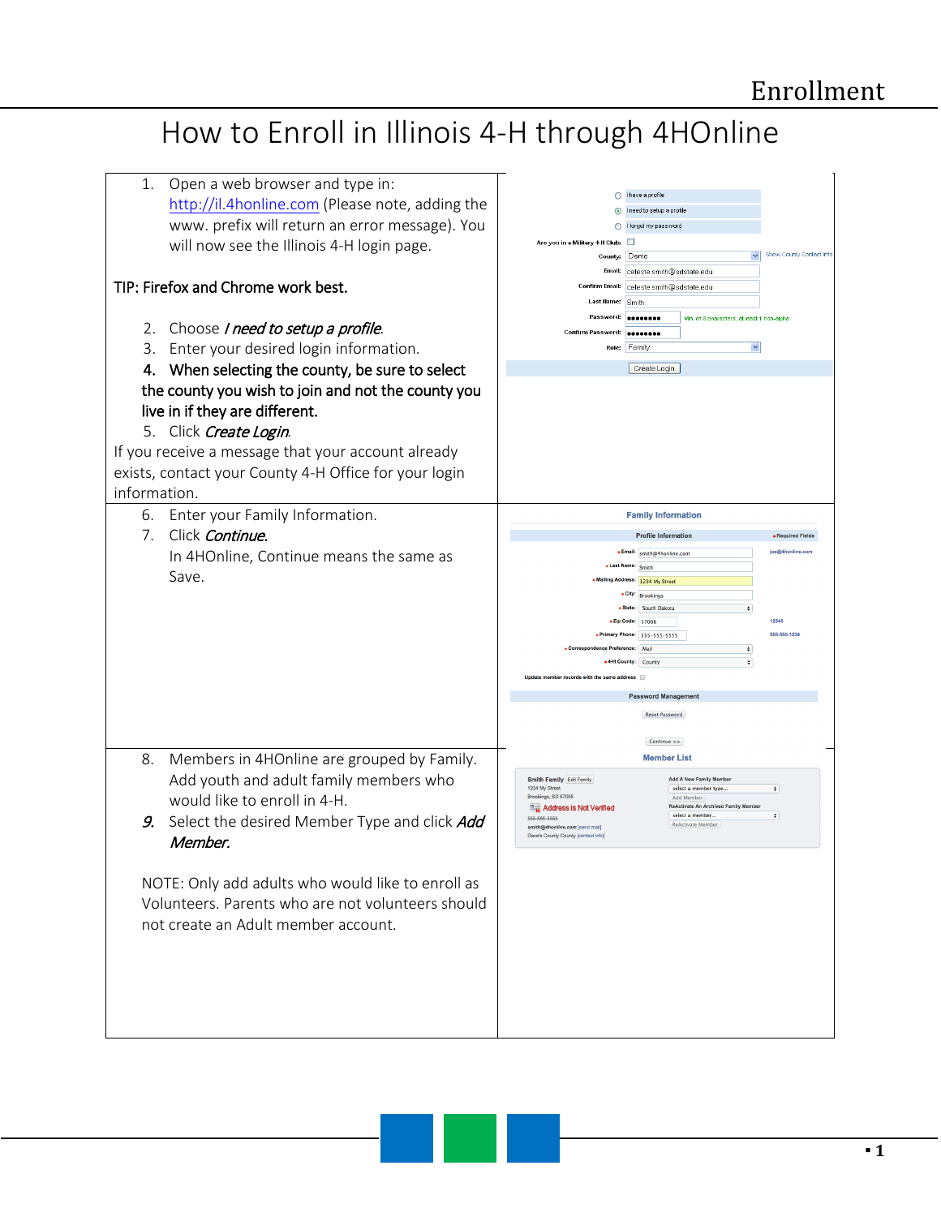## How to Enroll in Illinois 4-H through 4HOnline

| 1.<br>Open a web browser and type in:<br>http://il.4honline.com (Please note, adding the<br>www. prefix will return an error message). You<br>will now see the Illinois 4-H login page.<br>TIP: Firefox and Chrome work best.<br>2. Choose I need to setup a profile.<br>3. Enter your desired login information.<br>4. When selecting the county, be sure to select<br>the county you wish to join and not the county you<br>live in if they are different.<br>5. Click Create Login.<br>If you receive a message that your account already | ◯ I have a profile<br>I need to setup a profile<br>◯ I forgot my password<br>Are you in a Military 4-H Club:<br>$\Box$<br>Show County Contact Info<br>County: Demo<br>Email: celeste.smith@sdstate.edu<br>Confirm Email:<br>celeste.smith@sdstate.edu<br>Last llame:<br>Smith<br>Password: <b>Beaueres</b><br>Min. of 8 characters, at least 1 non-alpha<br>Confirm Password:   00000000<br>Role: Family<br>×<br>Create Login                                                                                                    |
|----------------------------------------------------------------------------------------------------------------------------------------------------------------------------------------------------------------------------------------------------------------------------------------------------------------------------------------------------------------------------------------------------------------------------------------------------------------------------------------------------------------------------------------------|----------------------------------------------------------------------------------------------------------------------------------------------------------------------------------------------------------------------------------------------------------------------------------------------------------------------------------------------------------------------------------------------------------------------------------------------------------------------------------------------------------------------------------|
| exists, contact your County 4-H Office for your login<br>information.<br>6. Enter your Family Information.<br>7.<br>Click Continue.<br>In 4HOnline, Continue means the same as<br>Save.                                                                                                                                                                                                                                                                                                                                                      | <b>Family Information</b><br><b>Profile Information</b><br>· Required Fields<br>· Email: smith@4honline.com<br>ine@4honline.com<br>« Last Name: Smith<br>Mailing Address: 1234 My Street<br>* City: Brookings<br>• State: South Dakota<br>$\div$<br>*Zip Code: 57006<br>12345<br>555-555-1234<br>* Primary Phone: 555-555-5555<br>• Correspondence Preference:   Mail<br>$\div$<br>+4-H County: County<br>$\ddot{\bullet}$<br>Update member records with the same address<br><b>Password Management</b><br><b>Reset Password</b> |
| Members in 4HOnline are grouped by Family.<br>8.<br>Add youth and adult family members who<br>would like to enroll in 4-H.<br>Select the desired Member Type and click Add<br>9.<br>Member.<br>NOTE: Only add adults who would like to enroll as<br>Volunteers. Parents who are not volunteers should<br>not create an Adult member account.                                                                                                                                                                                                 | Continue >><br><b>Member List</b><br>Smith Family Edit Family<br><b>Add A New Family Membe</b><br>1234 My Street<br>$\pmb{\div}$<br>select a member type<br>Brookings, SD 57006<br>Add Member<br><b>ReActivate An Archived Family Membe</b><br><b>風雷 Address is Not Verified</b><br>select a member<br>$\div$<br>555-555-5555<br><b>ReActivate Member</b><br>smith@4honline.com [send mail]<br>Dave's County County [contact info]                                                                                               |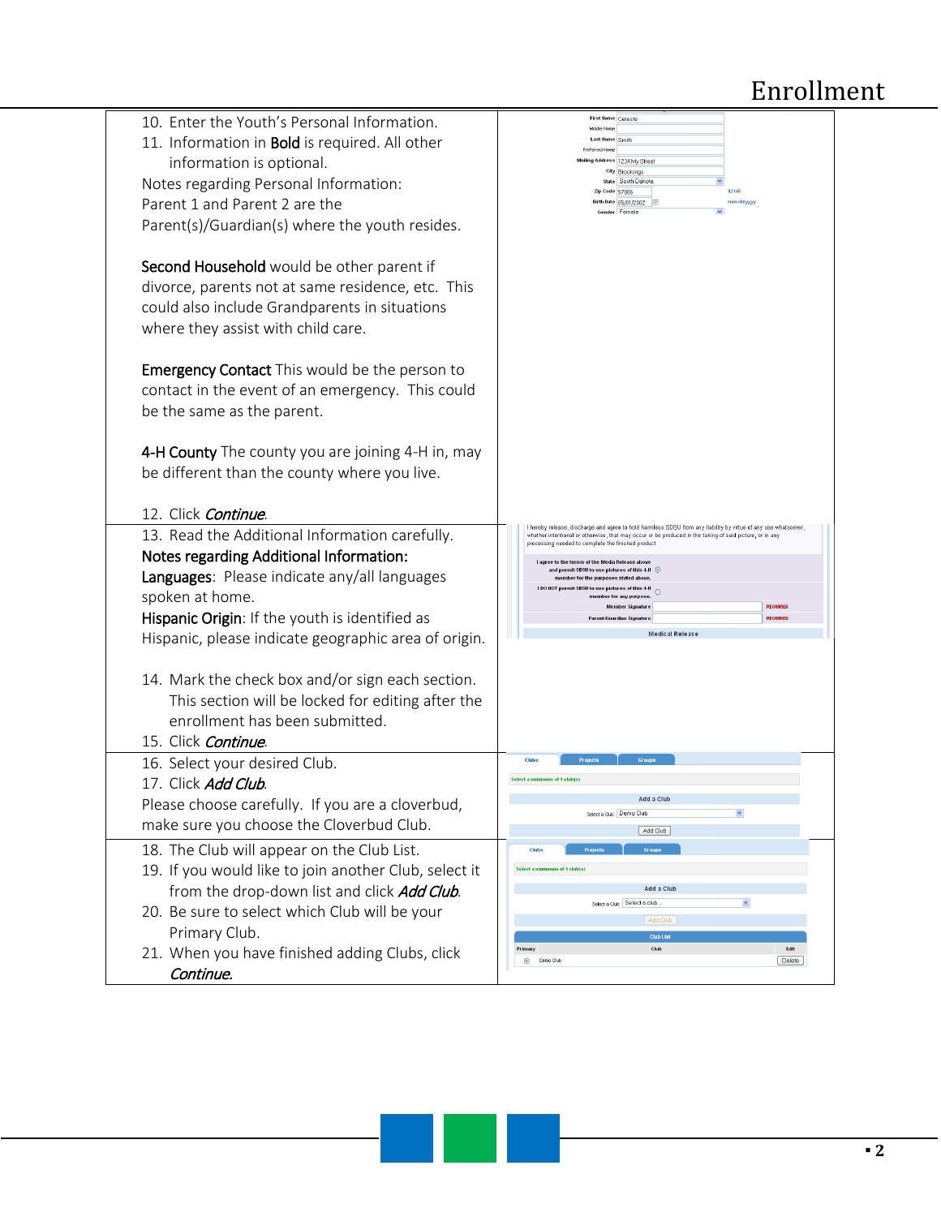## Enrollment

| 10. Enter the Youth's Personal Information.           | First Hame Celeste<br>Middle Name                                                                                                                                                                                                                                               |
|-------------------------------------------------------|---------------------------------------------------------------------------------------------------------------------------------------------------------------------------------------------------------------------------------------------------------------------------------|
| 11. Information in Bold is required. All other        | Last Hame Smith                                                                                                                                                                                                                                                                 |
| information is optional.                              | Preferred Name<br>Mailing Address 1234 My Stree                                                                                                                                                                                                                                 |
| Notes regarding Personal Information:                 | City Brookings<br>state South Dakota<br>12345                                                                                                                                                                                                                                   |
| Parent 1 and Parent 2 are the                         | Zip Code 57006<br>Birth Date 05/01/2002<br>mm/dd/yyyy<br>$\checkmark$                                                                                                                                                                                                           |
| Parent(s)/Guardian(s) where the youth resides.        | Gender Female                                                                                                                                                                                                                                                                   |
|                                                       |                                                                                                                                                                                                                                                                                 |
| Second Household would be other parent if             |                                                                                                                                                                                                                                                                                 |
| divorce, parents not at same residence, etc. This     |                                                                                                                                                                                                                                                                                 |
| could also include Grandparents in situations         |                                                                                                                                                                                                                                                                                 |
| where they assist with child care.                    |                                                                                                                                                                                                                                                                                 |
|                                                       |                                                                                                                                                                                                                                                                                 |
| <b>Emergency Contact</b> This would be the person to  |                                                                                                                                                                                                                                                                                 |
| contact in the event of an emergency. This could      |                                                                                                                                                                                                                                                                                 |
| be the same as the parent.                            |                                                                                                                                                                                                                                                                                 |
|                                                       |                                                                                                                                                                                                                                                                                 |
| 4-H County The county you are joining 4-H in, may     |                                                                                                                                                                                                                                                                                 |
| be different than the county where you live.          |                                                                                                                                                                                                                                                                                 |
|                                                       |                                                                                                                                                                                                                                                                                 |
| 12. Click Continue.                                   |                                                                                                                                                                                                                                                                                 |
| 13. Read the Additional Information carefully.        | hereby release, discharge and agree to hold harmless SDSU from any liability by virtue of any use whatsoever,<br>whether intentional or otherwise, that may occur or be produced in the taking of said picture, or in any<br>processing needed to complete the finished product |
| Notes regarding Additional Information:               | agree to the terms of the Media Release above                                                                                                                                                                                                                                   |
| Languages: Please indicate any/all languages          | and permit SDSU to use pictures of this 4-H $\,$ $\,$ $\,$ $\,$<br>member for the purposes stated above.<br>I DO NOT permit SDSU to use pictures of this 4-H                                                                                                                    |
| spoken at home.                                       | member for any purpose.<br><b>REQUIRED</b><br><b>Member Signature</b>                                                                                                                                                                                                           |
| Hispanic Origin: If the youth is identified as        | <b>REQUIRED</b><br>nt/Guardian Signature                                                                                                                                                                                                                                        |
| Hispanic, please indicate geographic area of origin.  | <b>Medical Release</b>                                                                                                                                                                                                                                                          |
|                                                       |                                                                                                                                                                                                                                                                                 |
| 14. Mark the check box and/or sign each section.      |                                                                                                                                                                                                                                                                                 |
| This section will be locked for editing after the     |                                                                                                                                                                                                                                                                                 |
| enrollment has been submitted.                        |                                                                                                                                                                                                                                                                                 |
| 15. Click Continue.                                   |                                                                                                                                                                                                                                                                                 |
| 16. Select your desired Club.                         | <b>Projects</b><br>Group<br>Clubs                                                                                                                                                                                                                                               |
| 17. Click Add Club.                                   | Select a minimum of 1 club(s)                                                                                                                                                                                                                                                   |
| Please choose carefully. If you are a cloverbud,      | $\checkmark$<br>Select a Club: Demo Club                                                                                                                                                                                                                                        |
| make sure you choose the Cloverbud Club.              | Add Club                                                                                                                                                                                                                                                                        |
| 18. The Club will appear on the Club List.            | Projects<br>Groups<br>Clubs                                                                                                                                                                                                                                                     |
| 19. If you would like to join another Club, select it | Select a minimum of 1 club(s)                                                                                                                                                                                                                                                   |
| from the drop-down list and click Add Club.           | Add a Club                                                                                                                                                                                                                                                                      |
| 20. Be sure to select which Club will be your         | $\checkmark$<br>Select a Club: Select a club                                                                                                                                                                                                                                    |
| Primary Club.                                         | Add Club<br><b>Club Lis</b>                                                                                                                                                                                                                                                     |
| 21. When you have finished adding Clubs, click        | Club<br>Edit<br>Primary<br>Delete<br>$\circledcirc$<br>Demo Club                                                                                                                                                                                                                |
| Continue.                                             |                                                                                                                                                                                                                                                                                 |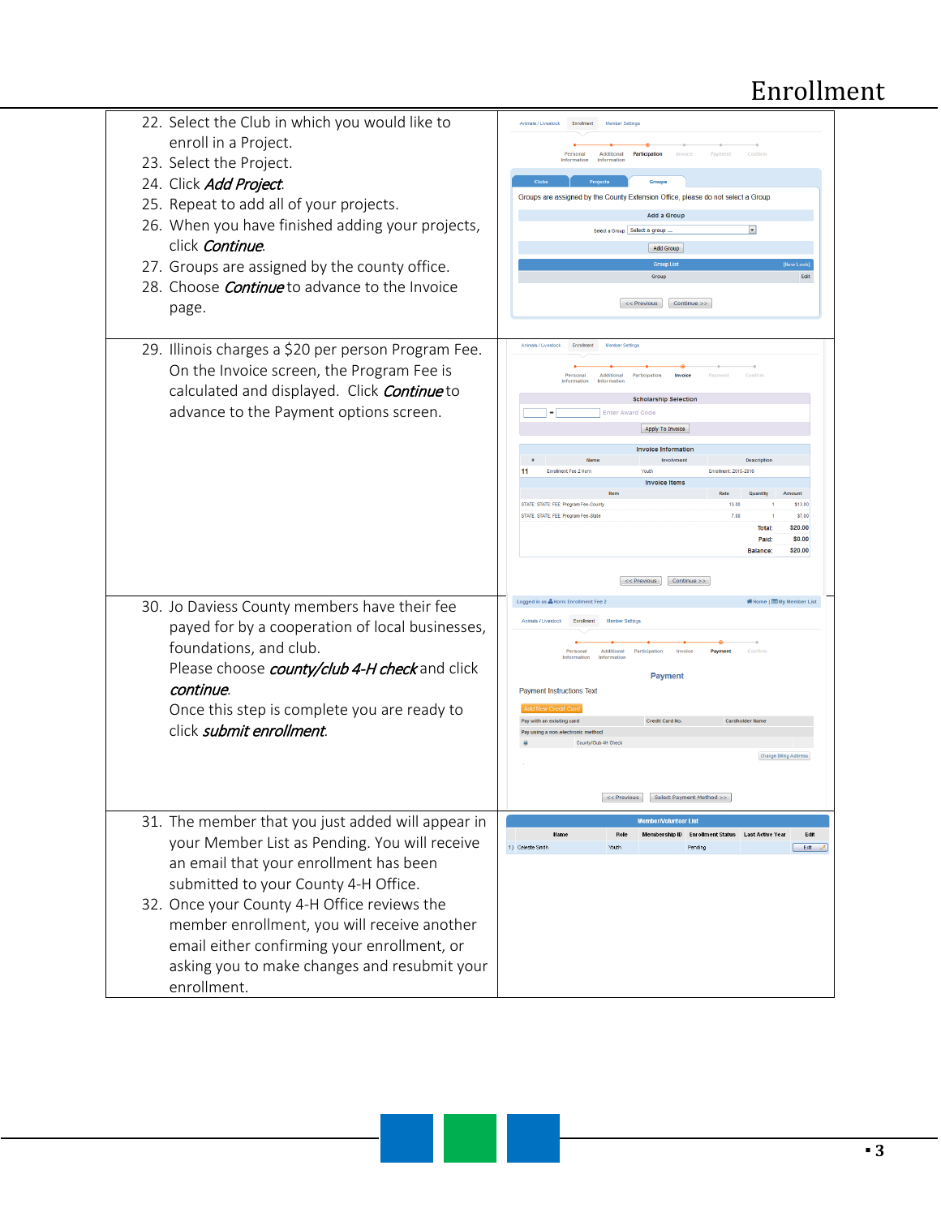## Enrollment

| 22. Select the Club in which you would like to                                                     |                                                                                                           |
|----------------------------------------------------------------------------------------------------|-----------------------------------------------------------------------------------------------------------|
| enroll in a Project.                                                                               | Additional<br>Participation<br>Personal                                                                   |
| 23. Select the Project.                                                                            | Information<br>Information                                                                                |
| 24. Click Add Project.                                                                             | Groups<br>Groups are assigned by the County Extension Office, please do not select a Group.               |
| 25. Repeat to add all of your projects.                                                            | <b>Add a Group</b>                                                                                        |
| 26. When you have finished adding your projects,                                                   | $\vert \cdot \vert$<br>Select a Group: Select a group                                                     |
| click Continue.                                                                                    | <b>Add Group</b>                                                                                          |
| 27. Groups are assigned by the county office.                                                      | <b>Group Lis</b><br>Group<br>Edit                                                                         |
| 28. Choose <i>Continue</i> to advance to the Invoice                                               |                                                                                                           |
| page.                                                                                              | << Previous<br>Continue >>                                                                                |
|                                                                                                    |                                                                                                           |
| 29. Illinois charges a \$20 per person Program Fee.                                                | Animals / Livestock                                                                                       |
| On the Invoice screen, the Program Fee is                                                          | Persona<br>Information                                                                                    |
| calculated and displayed. Click Continue to                                                        | <b>Scholarship Selection</b>                                                                              |
| advance to the Payment options screen.                                                             | <b>Enter Award Code</b>                                                                                   |
|                                                                                                    | Apply To Invoice                                                                                          |
|                                                                                                    | <b>Invoice Information</b>                                                                                |
|                                                                                                    | <b>Enrolment Fee 2 Hor</b><br>Enrolment: 2015-2016<br><b>Invoice Items</b>                                |
|                                                                                                    | STATE: STATE: FEE: Program Fee-County<br>13.00<br>\$13.00                                                 |
|                                                                                                    | STATE: STATE: FEE: Program Fee-State<br>7.00<br>\$7.00                                                    |
|                                                                                                    | \$20,00<br><b>Total:</b><br>\$0.00<br>Paid:                                                               |
|                                                                                                    | \$20.00<br>Balance:                                                                                       |
|                                                                                                    | Continue >><br><< Previous                                                                                |
| 30. Jo Daviess County members have their fee                                                       | <b> Nember List</b><br><b>Nome   I My Member List</b><br>Logged in as & Horn: Enrollment Fee:             |
| payed for by a cooperation of local businesses,                                                    | Animals / Livestock                                                                                       |
| foundations, and club.                                                                             | Additional                                                                                                |
| Please choose <i>county/club 4-H check</i> and click                                               | Information<br>Information                                                                                |
| continue.                                                                                          | <b>Payment</b><br><b>Payment Instructions Text</b>                                                        |
| Once this step is complete you are ready to                                                        | Add New Credit Car                                                                                        |
| click <i>submit enrollment</i> .                                                                   | Pay with an existing card<br><b>Credit Card No</b><br>Cardholder llame<br>Pay using a non-electronic meth |
|                                                                                                    | County/Club 4H Che<br><b>Change Biling Address</b>                                                        |
|                                                                                                    |                                                                                                           |
|                                                                                                    | << Previous Select Payment Method >>                                                                      |
|                                                                                                    | <b>Member/Volunteer List</b>                                                                              |
| 31. The member that you just added will appear in<br>your Member List as Pending. You will receive | Edit<br>Membership ID Enrollment Status Last Active Year<br><b>Hame</b><br>Role                           |
|                                                                                                    | 1) Celeste Smith<br>Youth<br>Pendino<br>Edit 6                                                            |
| an email that your enrollment has been                                                             |                                                                                                           |
| submitted to your County 4-H Office.                                                               |                                                                                                           |
| 32. Once your County 4-H Office reviews the                                                        |                                                                                                           |
| member enrollment, you will receive another                                                        |                                                                                                           |
| email either confirming your enrollment, or                                                        |                                                                                                           |
| asking you to make changes and resubmit your                                                       |                                                                                                           |
| enrollment.                                                                                        |                                                                                                           |